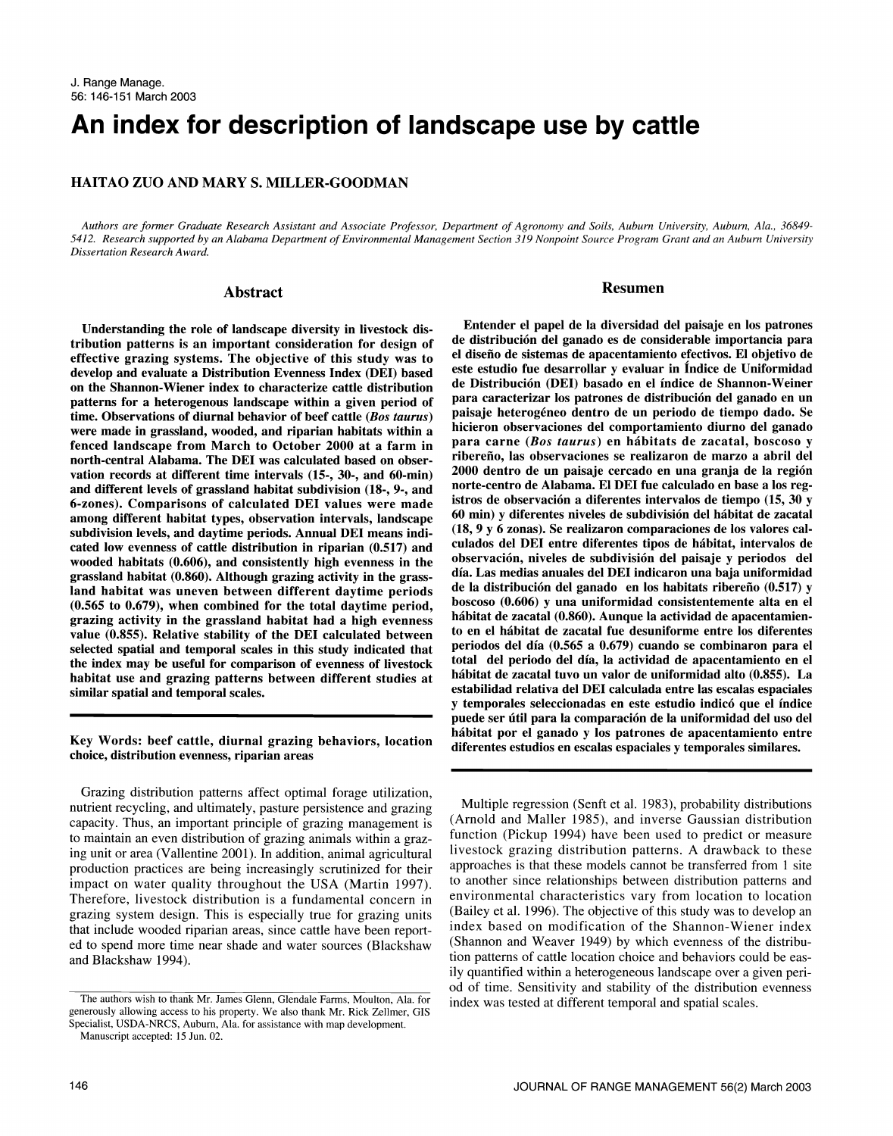# An index for description of landscape use by cattle

# HAITAO ZUO AND MARY S. MILLER-GOODMAN

Authors are former Graduate Research Assistant and Associate Professor, Department of Agronomy and Soils, Auburn University, Auburn, Ala., 36849- 5412. Research supported by an Alabama Department of Environmental Management Section 319 Nonpoint Source Program Grant and an Auburn University Dissertation Research Award.

## Abstract

Understanding the role of landscape diversity in livestock distribution patterns is an important consideration for design of effective grazing systems. The objective of this study was to develop and evaluate a Distribution Evenness Index (DEI) based on the Shannon-Wiener index to characterize cattle distribution de Distribución (DEI) basado en el indice de Shannon-Weiner<br>natterns for a beterogenous landscape within a given period of para caracterizar los patrones de d patterns for a heterogenous landscape within a given period of time. Observations of diurnal behavior of beef cattle (Bos taurus) were made in grassland, wooded, and riparian habitats within a fenced landscape from March to October 2000 at a farm in para carne (Bos taurus) en hábitats de zacatal, boscoso y north-central Alabama. The DEI was calculated based on observation records at different time intervals (15-, 30-, and 60-min) and different levels of grassland habitat subdivision (18-, 9-, and 6-zones). Comparisons of calculated DEI values were made among different habitat types, observation intervals, landscape subdivision levels, and daytime periods. Annual DEI means indicated low evenness of cattle distribution in riparian (0.517) and wooded habitats (0.606), and consistently high evenness in the grassland habitat (0.860). Although grazing activity in the grassland habitat was uneven between different daytime periods (0.565 to 0.679), when combined for the total daytime period, value (0.855). Relative stability of the DEI calculated between selected spatial and temporal scales in this study indicated that the index may be useful for comparison of evenness of livestock habitat use and grazing patterns between different studies at similar spatial and temporal scales.

### Key Words: beef cattle, diurnal grazing behaviors, location choice, distribution evenness, riparian areas

Grazing distribution patterns affect optimal forage utilization, nutrient recycling, and ultimately, pasture persistence and grazing capacity. Thus, an important principle of grazing management is to maintain an even distribution of grazing animals within a grazing unit or area (Vallentine 2001). In addition, animal agricultural production practices are being increasingly scrutinized for their impact on water quality throughout the USA (Martin 1997). Therefore, livestock distribution is a fundamental concern in grazing system design. This is especially true for grazing units that include wooded riparian areas, since cattle have been reported to spend more time near shade and water sources (Blackshaw and Blackshaw 1994).

#### Resumen

Entender el papel de la diversidad del paisaje en los patrones de distribucion del ganado es de considerable importancia para el diseno de sistemas de apacentamiento efectivos. El objetivo de este estudio fue desarrollar y evaluar in Indice de Uniformidad de Distribución (DEI) basado en el índice de Shannon-Weiner paisaje heterogéneo dentro de un periodo de tiempo dado. Se hicieron observaciones del comportamiento diurno del ganado ribereño, las observaciones se realizaron de marzo a abril del 2000 dentro de un paisaje cercado en una granja de la region norte-centro de Alabama. El DEI fue calculado en base a los registros de observación a diferentes intervalos de tiempo (15, 30 y 60 min) y diferentes niveles de subdivision del habitat de zacatal (18, 9 y 6 zonas). Se realizaron comparaciones de los valores calculados del DEI entre diferentes tipos de habitat, intervalos de observacion, niveles de subdivision del paisaje y periodos del dia. Las medias anuales del DEI indicaron una baja uniformidad de la distribución del ganado en los habitats ribereño (0.517) y boscoso (0.606) y una uniformidad consistentemente alta en el habitat de zacatal (0.860). Aunque la actividad de apacentamiento en el habitat de zacatal fue desuniforme entre los diferentes periodos del dia (0.565 a 0.679) cuando se combinaron para el total del periodo del dia, la actividad de apacentamiento en el habitat de zacatal tuvo un valor de uniformidad alto (0.855). La estabilidad relativa del DEI calculada entre las escalas espaciales y temporales seleccionadas en este estudio indicó que el índice puede ser útil para la comparación de la uniformidad del uso del habitat por el ganado y los patrones de apacentamiento entre diferentes estudios en escalas espaciales y temporales similares.

Multiple regression (Senft et al. 1983), probability distributions (Arnold and Maller 1985), and inverse Gaussian distribution function (Pickup 1994) have been used to predict or measure livestock grazing distribution patterns. A drawback to these approaches is that these models cannot be transferred from 1 site to another since relationships between distribution patterns and environmental characteristics vary from location to location (Bailey et al. 1996). The objective of this study was to develop an index based on modification of the Shannon-Wiener index (Shannon and Weaver 1949) by which evenness of the distribution patterns of cattle location choice and behaviors could be eas- ily quantified within a heterogeneous landscape over a given period of time. Sensitivity and stability of the distribution evenness

The authors wish to thank Mr. James Glenn, Glendale Farms, Moulton, Ala. for index was tested at different temporal and spatial scales. generously allowing access to his property. We also thank Mr. Rick Zellmer, GIS Specialist, USDA-MRCS, Auburn, Ala. for assistance with map development.

Manuscript accepted: 15 Jun. 02.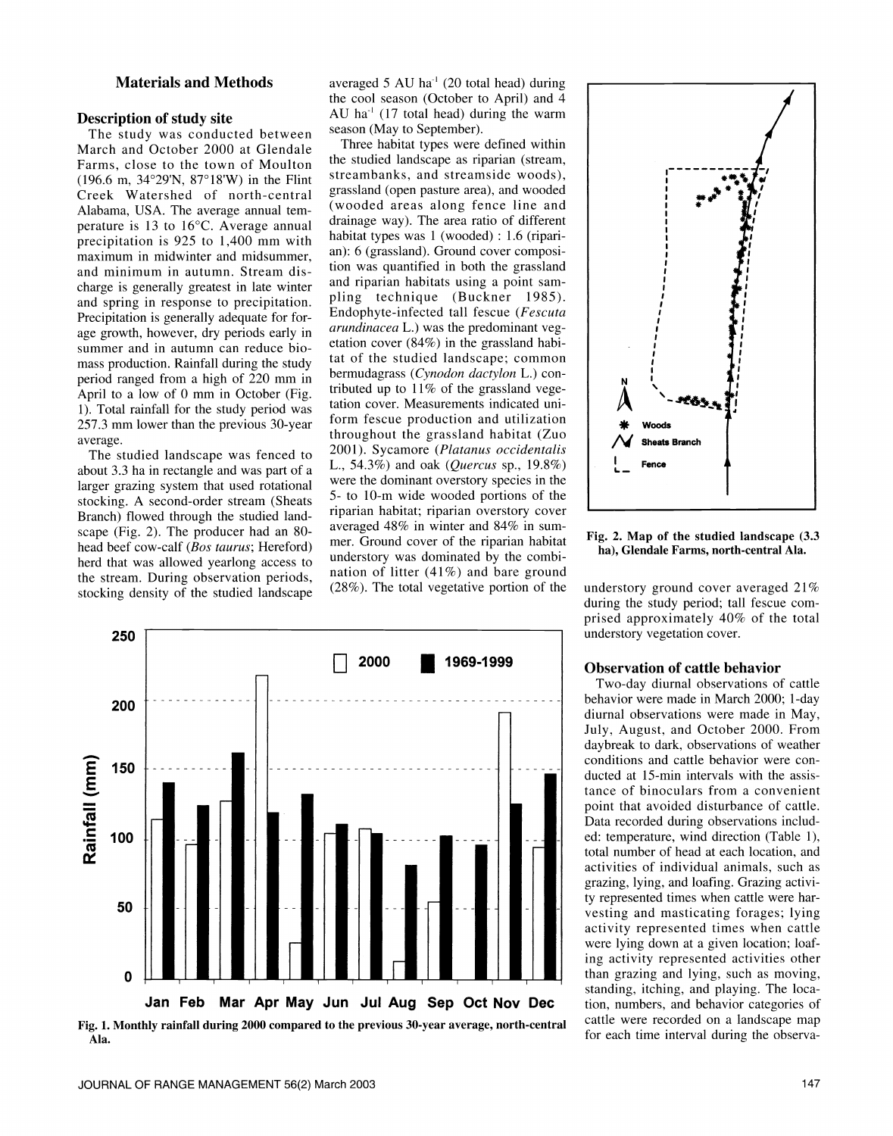## Materials and Methods

#### Description of study site

The study was conducted between season (May to September). March and October 2000 at Glendale Farms, close to the town of Moulton (196.6 m, 34°29'N, 87°18'W) in the Flint Creek Watershed of north-central Alabama, USA. The average annual temperature is 13 to 16°C. Average annual precipitation is 925 to 1,400 mm with maximum in midwinter and midsummer, and minimum in autumn. Stream discharge is generally greatest in late winter and riparian habitats using a point samand spring in response to precipitation. Precipitation is generally adequate for forage growth, however, dry periods early in summer and in autumn can reduce bio mass production. Rainfall during the study period ranged from a high of 220 mm in April to a low of 0 mm in October (Fig. 1). Total rainfall for the study period was 257.3 mm lower than the previous 30-year average.

The studied landscape was fenced to about 3.3 ha in rectangle and was part of a larger grazing system that used rotational stocking. A second-order stream (Sheats Branch) flowed through the studied landhead beef cow-calf (Bos taurus; Hereford) herd that was allowed yearlong access to the stream. During observation periods, stocking density of the studied landscape

averaged 5 AU ha<sup>-1</sup> (20 total head) during the cool season (October to April) and 4 AU ha<sup>-1</sup> (17 total head) during the warm

scape (Fig. 2). The producer had an 80-<br>averaged 48% in winter and 84% in sum-Three habitat types were defined within the studied landscape as riparian (stream, streambanks, and streamside woods), grassland (open pasture area), and wooded (wooded areas along fence line and drainage way). The area ratio of different habitat types was 1 (wooded) : 1.6 (riparian): 6 (grassland). Ground cover composition was quantified in both the grassland pling technique (Buckner 1985). Endophyte-infected tall fescue (Fescuta arundinacea L.) was the predominant vegetation cover (84%) in the grassland habitat of the studied landscape; common bermudagrass (Cynodon dactylon L.) con tributed up to  $11\%$  of the grassland vegetation cover. Measurements indicated uniform fescue production and utilization throughout the grassland habitat (Zuo 2001). Sycamore (Platanus occidentalis L., 54.3%) and oak (Quercus sp., 19.8%) were the dominant overstory species in the 5- to 10-m wide wooded portions of the riparian habitat; riparian overstory cover mer. Ground cover of the riparian habitat understory was dominated by the combination of litter (41%) and bare ground (28%). The total vegetative portion of the



Fig. 1. Monthly rainfall during 2000 compared to the previous 30-year average, north-central Ala.



Fig. 2. Map of the studied landscape (3.3 ha), Glendale Farms, north-central Ala.

understory ground cover averaged 21% during the study period; tall fescue com prised approximately 40% of the total understory vegetation cover.

#### Observation of cattle behavior

Two-day diurnal observations of cattle behavior were made in March 2000; 1-day diurnal observations were made in May, July, August, and October 2000. From daybreak to dark, observations of weather conditions and cattle behavior were con- ducted at 15-min intervals with the assistance of binoculars from a convenient point that avoided disturbance of cattle. Data recorded during observations included: temperature, wind direction (Table 1), total number of head at each location, and activities of individual animals, such as grazing, lying, and loafing. Grazing activity represented times when cattle were harvesting and masticating forages; lying activity represented times when cattle were lying down at a given location; loafing activity represented activities other than grazing and lying, such as moving, standing, itching, and playing. The location, numbers, and behavior categories of cattle were recorded on a landscape map for each time interval during the observa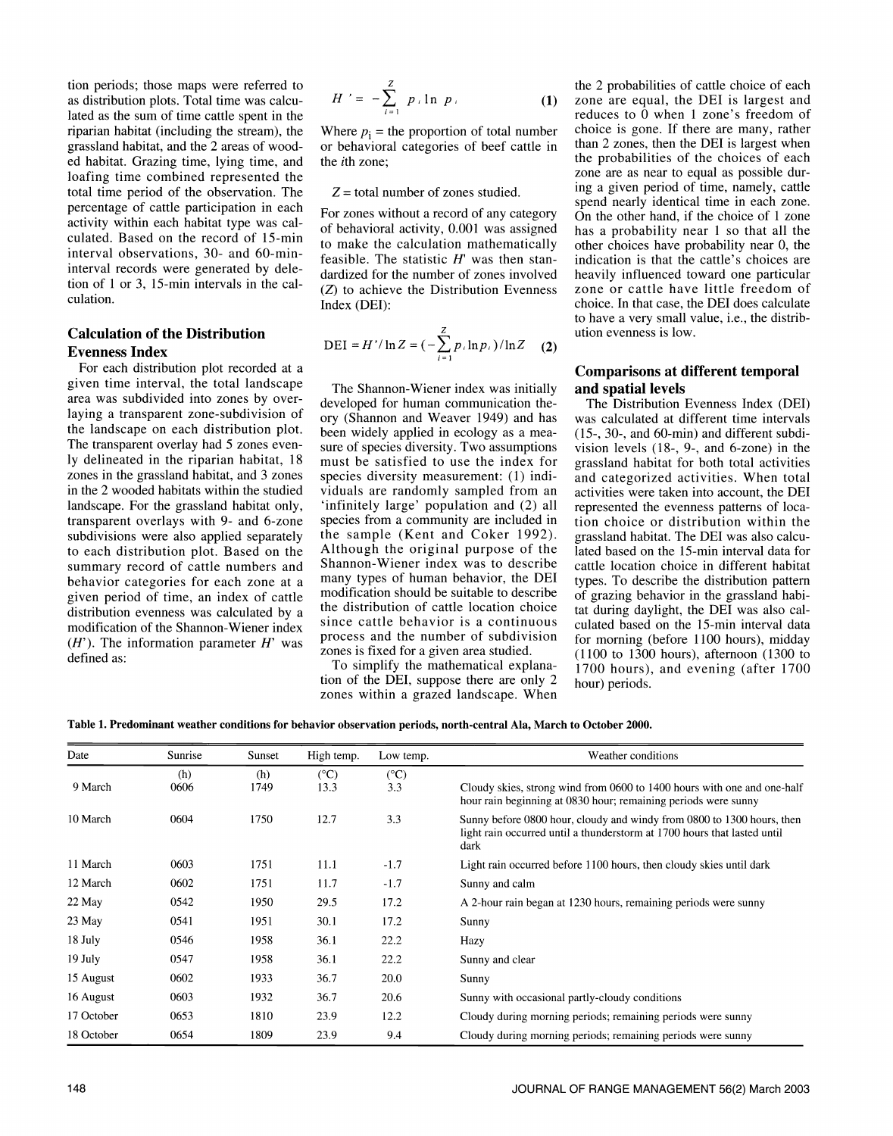tion periods; those maps were referred to as distribution plots. Total time was calculated as the sum of time cattle spent in the riparian habitat (including the stream), the Where  $p_i$  = the proportion of total number grassland habitat, and the 2 areas of wooded habitat. Grazing time, lying time, and loafing time combined represented the total time period of the observation. The percentage of cattle participation in each activity within each habitat type was calculated. Based on the record of 15-min interval observations, 30- and 60-mininterval records were generated by deletion of 1 or 3, 15-min intervals in the calculation.

# Calculation of the Distribution Evenness Index

For each distribution plot recorded at a given time interval, the total landscape area was subdivided into zones by over laying a transparent zone-subdivision of the landscape on each distribution plot. been widely applied in ecology as a mea-<br>The transparent overlay had 5 zones even-<br>sure of species diversity. Two assumptions Iy delineated in the riparian habitat, 18 zones in the grassland habitat, and 3 zones in the 2 wooded habitats within the studied viduals are randomly sampled from an landscape. For the grassland habitat only, transparent overlays with 9- and 6-zone subdivisions were also applied separately to each distribution plot. Based on the summary record of cattle numbers and behavior categories for each zone at a given period of time, an index of cattle distribution evenness was calculated by a modification of the Shannon-Wiener index  $(H')$ . The information parameter  $H'$  was defined as:

$$
H' = -\sum_{i=1}^{Z} p_i \ln p_i
$$
 the  
recc

or behavioral categories of beef cattle in the ith zone;

#### $Z =$  total number of zones studied.

For zones without a record of any category of behavioral activity, 0.001 was assigned to make the calculation mathematically feasible. The statistic  $H'$  was then standardized for the number of zones involved (Z) to achieve the Distribution Evenness Index (DEI):

$$
DEI = H'/\ln Z = \left(-\sum_{i=1}^{Z} p_i \ln p_i\right)/\ln Z \quad (2)
$$

The Shannon-Wiener index was initially **and spatial levels**<br>eveloped for human communication the-<br>The Distribution Evenness Index (DEI) developed for human communication theory (Shannon and Weaver 1949) and has sure of species diversity. Two assumptions must be satisfied to use the index for species diversity measurement: (1) indi-'infinitely large' population and (2) all species from a community are included in the sample (Kent and Coker 1992). Although the original purpose of the Shannon-Wiener index was to describe many types of human behavior, the DEI modification should be suitable to describe the distribution of cattle location choice since cattle behavior is a continuous process and the number of subdivision zones is fixed for a given area studied.

To simplify the mathematical explanation of the DEI, suppose there are only 2 zones within a grazed landscape. When

the 2 probabilities of cattle choice of each zone are equal, the DEI is largest and reduces to  $\overline{0}$  when 1 zone's freedom of choice is gone. If there are many, rather than 2 zones, then the DEI is largest when the probabilities of the choices of each zone are as near to equal as possible during a given period of time, namely, cattle spend nearly identical time in each zone. On the other hand, if the choice of 1 zone has a probability near 1 so that all the other choices have probability near 0, the indication is that the cattle's choices are heavily influenced toward one particular zone or cattle have little freedom of choice. In that case, the DEI does calculate to have a very small value, i.e., the distribution evenness is low.

# Comparisons at different temporal and spatial levels

was calculated at different time intervals (15-, 30-, and 60-min) and different subdivision levels (18-, 9-, and 6-zone) in the grassland habitat for both total activities and categorized activities. When total activities were taken into account, the DEI represented the evenness patterns of location choice or distribution within the grassland habitat. The DEI was also calculated based on the 15-min interval data for cattle location choice in different habitat types. To describe the distribution pattern of grazing behavior in the grassland habitat during daylight, the DEI was also calculated based on the 15-min interval data for morning (before 1100 hours), midday (1100 to 1300 hours), afternoon (1300 to 1700 hours), and evening (after 1700 hour) periods.

Table 1. Predominant weather conditions for behavior observation periods, north-central Ala, March to October 2000.

| Date       | Sunrise     | Sunset      | High temp.            | Low temp.            | Weather conditions                                                                                                                                         |
|------------|-------------|-------------|-----------------------|----------------------|------------------------------------------------------------------------------------------------------------------------------------------------------------|
| 9 March    | (h)<br>0606 | (h)<br>1749 | $(^{\circ}C)$<br>13.3 | $(^{\circ}C)$<br>3.3 | Cloudy skies, strong wind from 0600 to 1400 hours with one and one-half<br>hour rain beginning at 0830 hour; remaining periods were sunny                  |
| 10 March   | 0604        | 1750        | 12.7                  | 3.3                  | Sunny before 0800 hour, cloudy and windy from 0800 to 1300 hours, then<br>light rain occurred until a thunderstorm at 1700 hours that lasted until<br>dark |
| 11 March   | 0603        | 1751        | 11.1                  | $-1.7$               | Light rain occurred before 1100 hours, then cloudy skies until dark                                                                                        |
| 12 March   | 0602        | 1751        | 11.7                  | $-1.7$               | Sunny and calm                                                                                                                                             |
| 22 May     | 0542        | 1950        | 29.5                  | 17.2                 | A 2-hour rain began at 1230 hours, remaining periods were sunny                                                                                            |
| 23 May     | 0541        | 1951        | 30.1                  | 17.2                 | Sunny                                                                                                                                                      |
| 18 July    | 0546        | 1958        | 36.1                  | 22.2                 | Hazy                                                                                                                                                       |
| 19 July    | 0547        | 1958        | 36.1                  | 22.2                 | Sunny and clear                                                                                                                                            |
| 15 August  | 0602        | 1933        | 36.7                  | 20.0                 | Sunny                                                                                                                                                      |
| 16 August  | 0603        | 1932        | 36.7                  | 20.6                 | Sunny with occasional partly-cloudy conditions                                                                                                             |
| 17 October | 0653        | 1810        | 23.9                  | 12.2                 | Cloudy during morning periods; remaining periods were sunny                                                                                                |
| 18 October | 0654        | 1809        | 23.9                  | 9.4                  | Cloudy during morning periods; remaining periods were sunny                                                                                                |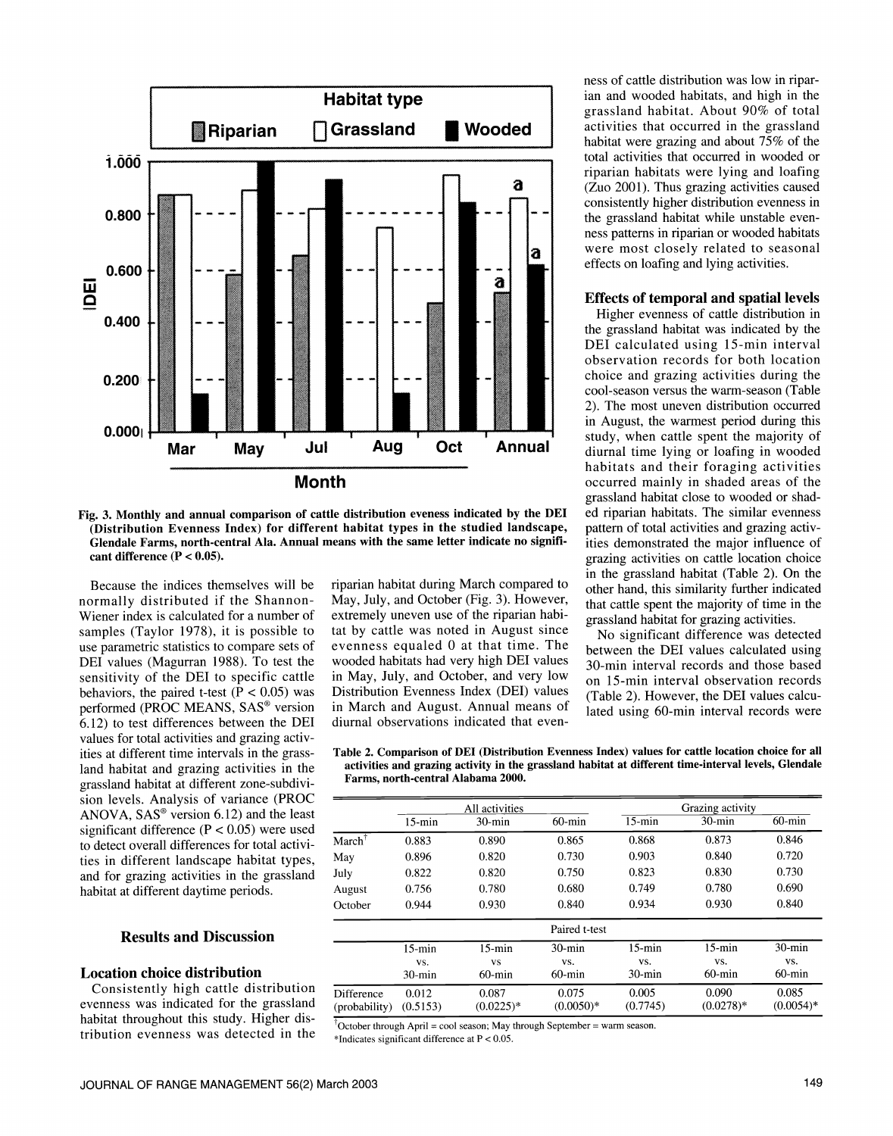

Fig. 3. Monthly and annual comparison of cattle distribution eveness indicated by the DEI ed riparian habitats. The similar evenness (Distribution Evenness Index) for different habitat types in the studied landscape, Glendale Farms, north-central Ala. Annual means with the same letter indicate no significant difference  $(P < 0.05)$ .

Because the indices themselves will be normally distributed if the Shannon-Wiener index is calculated for a number of samples (Taylor 1978), it is possible to use parametric statistics to compare sets of DEI values (Magurran 1988). To test the sensitivity of the DEI to specific cattle behaviors, the paired t-test ( $\bar{P}$  < 0.05) was performed (PROC MEANS, SAS® version 6.12) to test differences between the DEl values for total activities and grazing activities at different time intervals in the grassland habitat and grazing activities in the grassland habitat at different zone-subdivision levels. Analysis of variance (PROC ANOVA,  $SAS^{\circ}$  version 6.12) and the least significant difference ( $P < 0.05$ ) were used to detect overall differences for total activities in different landscape habitat types, and for grazing activities in the grassland habitat at different daytime periods.

# Results and Discussion

#### Location choice distribution

Consistently high cattle distribution evenness was indicated for the grassland habitat throughout this study. Higher distribution evenness was detected in the  $_{*}$ Indicates significant difference at P < 0.05.

riparian habitat during March compared to May, July, and October (Fig. 3). However, extremely uneven use of the riparian habitat by cattle was noted in August since evenness equaled 0 at that time. The wooded habitats had very high DEI values 30-min interval records and those based in May, July, and October, and very low Distribution Evenness Index (DEI) values in March and August. Annual means of diurnal observations indicated that even-

ness of cattle distribution was low in riparian and wooded habitats, and high in the grassland habitat. About 90% of total activities that occurred in the grassland habitat were grazing and about 75% of the total activities that occurred in wooded or riparian habitats were lying and loafing (Zuo 2001). Thus grazing activities caused consistently higher distribution evenness in<br>the grassland habitat while unstable evenness patterns in riparian or wooded habitats were most closely related to seasonal effects on loafing and lying activities.

#### Effects of temporal and spatial levels

Higher evenness of cattle distribution in the grassland habitat was indicated by the DEI calculated using 15-min interval observation records for both location choice and grazing activities during the cool-season versus the warm-season (Table 2). The most uneven distribution occurred in August, the warmest period during this study, when cattle spent the majority of diurnal time lying or loafing in wooded habitats and their foraging activities occurred mainly in shaded areas of the grassland habitat close to wooded or shadpattern of total activities and grazing activities demonstrated the major influence of grazing activities on cattle location choice in the grassland habitat (Table 2). On the other hand, this similarity further indicated that cattle spent the majority of time in the grassland habitat for grazing activities.

No significant difference was detected between the DEI values calculated using on 15-min interval observation records (Table 2). However, the DEI values calculated using 60-min interval records were

| Table 2. Comparison of DEI (Distribution Evenness Index) values for cattle location choice for all   |  |
|------------------------------------------------------------------------------------------------------|--|
| activities and grazing activity in the grassland habitat at different time-interval levels, Glendale |  |
| Farms, north-central Alabama 2000.                                                                   |  |

|                   | All activities |              |               | Grazing activity |             |              |  |
|-------------------|----------------|--------------|---------------|------------------|-------------|--------------|--|
|                   | $15 - min$     | $30$ -min    | $60$ -min     | $15 - min$       | $30$ -min   | $60$ -min    |  |
| $March^{\dagger}$ | 0.883          | 0.890        | 0.865         | 0.868            | 0.873       | 0.846        |  |
| May               | 0.896          | 0.820        | 0.730         | 0.903            | 0.840       | 0.720        |  |
| July              | 0.822          | 0.820        | 0.750         | 0.823            | 0.830       | 0.730        |  |
| August            | 0.756          | 0.780        | 0.680         | 0.749            | 0.780       | 0.690        |  |
| October           | 0.944          | 0.930        | 0.840         | 0.934            | 0.930       | 0.840        |  |
|                   |                |              | Paired t-test |                  |             |              |  |
|                   | $15$ -min      | $15$ -min    | $30 - min$    | $15 - min$       | $15 - min$  | $30$ -min    |  |
|                   | VS.            | <b>VS</b>    | VS.           | VS.              | VS.         | VS.          |  |
|                   | $30$ -min      | $60$ -min    | $60$ -min     | $30$ -min        | $60$ -min   | $60$ -min    |  |
| Difference        | 0.012          | 0.087        | 0.075         | 0.005            | 0.090       | 0.085        |  |
| (probability)     | (0.5153)       | $(0.0225)^*$ | $(0.0050)*$   | (0.7745)         | $(0.0278)*$ | $(0.0054)$ * |  |

 $\overline{O}$ Ctober through April = cool season; May through September = warm season.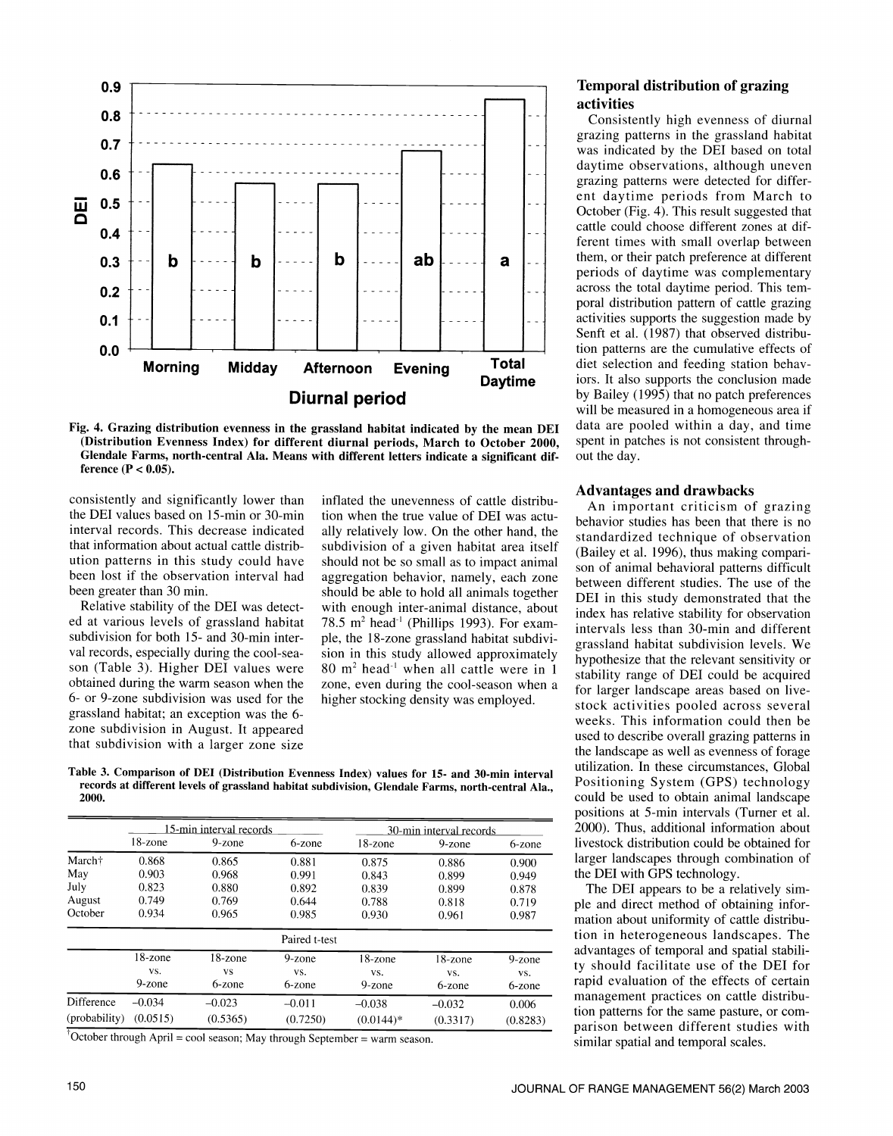

Fig. 4. Grazing distribution evenness in the grassland habitat indicated by the mean DEI (Distribution Evenness Index) for different diurnal periods, March to October 2000, Glendale Farms, north-central Ala. Means with different letters indicate a significant difference  $(P < 0.05)$ .

consistently and significantly lower than the DEI values based on 15-min or 30-min interval records. This decrease indicated that information about actual cattle distribution patterns in this study could have been lost if the observation interval had aggregation behavior, namely, each zone been greater than 30 min.

Relative stability of the DEI was detected at various levels of grassland habitat subdivision for both 15- and 30-min inter-<br>val records, especially during the cool-season (Table 3). Higher DEI values were obtained during the warm season when the 6- or 9-zone subdivision was used for the grassland habitat; an exception was the 6 zone subdivision in August. It appeared that subdivision with a larger zone size

inflated the unevenness of cattle distribution when the true value of DEI was actually relatively low. On the other hand, the subdivision of a given habitat area itself<br>(Bailey et al. 1996), thus making comparishould not be so small as to impact animal should be able to hold all animals together with enough inter-animal distance, about 78.5  $m^2$  head<sup>-1</sup> (Phillips 1993). For example, the 18-zone grassland habitat subdivision in this study allowed approximately  $80 \text{ m}^2$  head<sup>-1</sup> when all cattle were in 1 zone, even during the cool-season when a higher stocking density was employed.

Table 3. Comparison of DEI (Distribution Evenness Index) values for 15- and 30-min interval records at different levels of grassland habitat subdivision, Glendale Farms, north-central Ala., 2000.

|                    |            | 15-min interval records |               |             | 30-min interval records |           |
|--------------------|------------|-------------------------|---------------|-------------|-------------------------|-----------|
|                    | $18$ -zone | $9$ -zone               | 6-zone        | 18-zone     | 9-zone                  | 6-zone    |
| March <sup>+</sup> | 0.868      | 0.865                   | 0.881         | 0.875       | 0.886                   | 0.900     |
| May                | 0.903      | 0.968                   | 0.991         | 0.843       | 0.899                   | 0.949     |
| July               | 0.823      | 0.880                   | 0.892         | 0.839       | 0.899                   | 0.878     |
| August             | 0.749      | 0.769                   | 0.644         | 0.788       | 0.818                   | 0.719     |
| October            | 0.934      | 0.965                   | 0.985         | 0.930       | 0.961                   | 0.987     |
|                    |            |                         | Paired t-test |             |                         |           |
|                    | 18-zone    | 18-zone                 | $9$ -zone     | 18-zone     | $18$ -zone              | $9$ -zone |
|                    | VS.        | <b>VS</b>               | VS.           | VS.         | VS.                     | VS.       |
|                    | $9$ -zone  | 6-zone                  | 6-zone        | 9-zone      | 6-zone                  | 6-zone    |
| Difference         | $-0.034$   | $-0.023$                | $-0.011$      | $-0.038$    | $-0.032$                | 0.006     |
| (probability)      | (0.0515)   | (0.5365)                | (0.7250)      | $(0.0144)*$ | (0.3317)                | (0.8283)  |

October through April = cool season; May through September = warm season.

Consistently high evenness of diurnal grazing patterns in the grassland habitat was indicated by the DEI based on total daytime observations, although uneven grazing patterns were detected for different daytime periods from March to October (Fig. 4). This result suggested that cattle could choose different zones at different times with small overlap between them, or their patch preference at different periods of daytime was complementary across the total daytime period. This temporal distribution pattern of cattle grazing activities supports the suggestion made by Senft et al. (1987) that observed distribution patterns are the cumulative effects of diet selection and feeding station behaviors. It also supports the conclusion made by Bailey (1995) that no patch preferences will be measured in a homogeneous area if data are pooled within a day, and time spent in patches is not consistent throughout the day.

# Advantages and drawbacks

An important criticism of grazing behavior studies has been that there is no standardized technique of observation son of animal behavioral patterns difficult between different studies. The use of the DEI in this study demonstrated that the index has relative stability for observation intervals less than 30-min and different grassland habitat subdivision levels. We hypothesize that the relevant sensitivity or stability range of DEI could be acquired for larger landscape areas based on livestock activities pooled across several weeks. This information could then be used to describe overall grazing patterns in the landscape as well as evenness of forage utilization. In these circumstances, Global Positioning System (GPS) technology could be used to obtain animal landscape positions at 5-min intervals (Turner et al. 2000). Thus, additional information about livestock distribution could be obtained for larger landscapes through combination of the DEI with GPS technology.

The DEI appears to be a relatively simple and direct method of obtaining information about uniformity of cattle distribution in heterogeneous landscapes. The advantages of temporal and spatial stability should facilitate use of the DEI for rapid evaluation of the effects of certain management practices on cattle distribution patterns for the same pasture, or com parison between different studies with similar spatial and temporal scales.